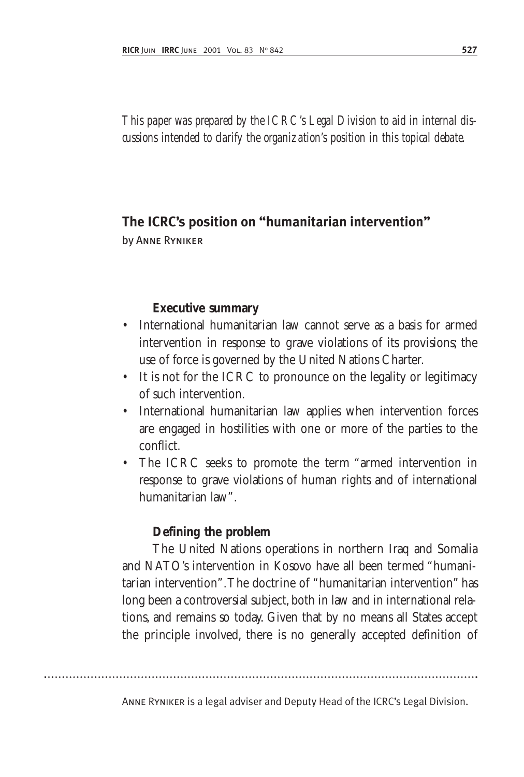*This paper was prepared by the ICRC's Legal Division to aid in internal discussions intended to clarify the organization's position in this topical debate.*

# **The ICRC's position on "humanitarian intervention"**

by Anne Ryniker

#### **Executive summary**

- International humanitarian law cannot serve as a basis for armed intervention in response to grave violations of its provisions; the use of force is governed by the United Nations Charter.
- It is not for the ICRC to pronounce on the legality or legitimacy of such intervention.
- International humanitarian law applies when intervention forces are engaged in hostilities with one or more of the parties to the conflict.
- The ICRC seeks to promote the term "armed intervention in response to grave violations of human rights and of international humanitarian law".

### **Defining the problem**

The United Nations operations in northern Iraq and Somalia and NATO's intervention in Kosovo have all been termed "humanitarian intervention".The doctrine of "humanitarian intervention" has long been a controversial subject, both in law and in international relations, and remains so today. Given that by no means all States accept the principle involved, there is no generally accepted definition of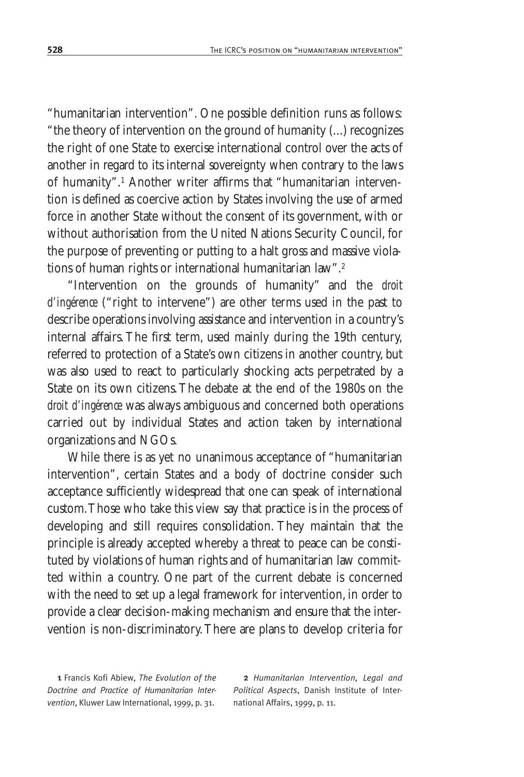"humanitarian intervention". One possible definition runs as follows: "the theory of intervention on the ground of humanity (...) recognizes the right of one State to exercise international control over the acts of another in regard to its internal sovereignty when contrary to the laws of humanity".1 Another writer affirms that "humanitarian intervention is defined as coercive action by States involving the use of armed force in another State without the consent of its government, with or without authorisation from the United Nations Security Council, for the purpose of preventing or putting to a halt gross and massive violations of human rights or international humanitarian law".<sup>2</sup>

"Intervention on the grounds of humanity" and the *droit d'ingérence* ("right to intervene") are other terms used in the past to describe operations involving assistance and intervention in a country's internal affairs. The first term, used mainly during the 19th century, referred to protection of a State's own citizens in another country, but was also used to react to particularly shocking acts perpetrated by a State on its own citizens.The debate at the end of the 1980s on the *droit d'ingérence* was always ambiguous and concerned both operations carried out by individual States and action taken by international organizations and NGOs.

While there is as yet no unanimous acceptance of "humanitarian intervention", certain States and a body of doctrine consider such acceptance sufficiently widespread that one can speak of international custom.Those who take this view say that practice is in the process of developing and still requires consolidation. They maintain that the principle is already accepted whereby a threat to peace can be constituted by violations of human rights and of humanitarian law committed within a country. One part of the current debate is concerned with the need to set up a legal framework for intervention, in order to provide a clear decision-making mechanism and ensure that the intervention is non-discriminatory.There are plans to develop criteria for

1 Francis Kofi Abiew, *The Evolution of the Doctrine and Practice of Humanitarian Intervention*, Kluwer Law International, 1999, p. 31.

2 *Humanitarian Intervention, Legal and Political Aspects*, Danish Institute of International Affairs, 1999, p. 11.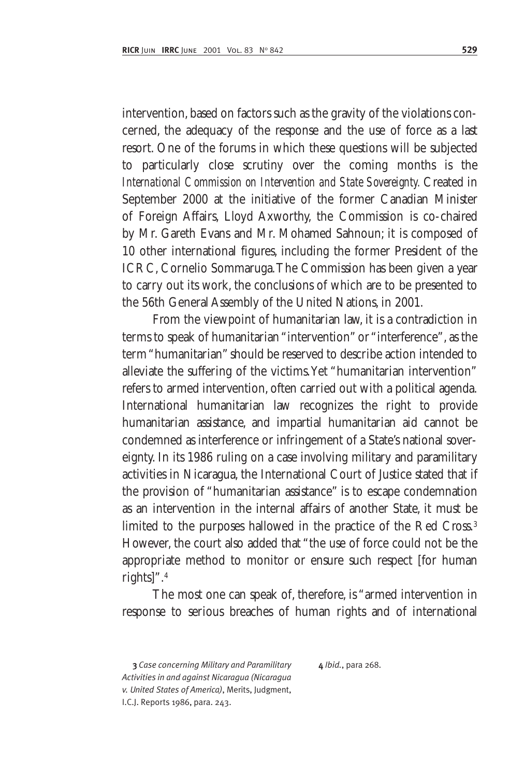intervention, based on factors such as the gravity of the violations concerned, the adequacy of the response and the use of force as a last resort. One of the forums in which these questions will be subjected to particularly close scrutiny over the coming months is the *International Commission on Intervention and State Sovereignty.* Created in September 2000 at the initiative of the former Canadian Minister of Foreign Affairs, Lloyd Axworthy, the Commission is co-chaired by Mr. Gareth Evans and Mr. Mohamed Sahnoun; it is composed of 10 other international figures, including the former President of the ICRC, Cornelio Sommaruga.The Commission has been given a year to carry out its work, the conclusions of which are to be presented to the 56th General Assembly of the United Nations, in 2001.

From the viewpoint of humanitarian law, it is a contradiction in terms to speak of humanitarian "intervention" or "interference", as the term "humanitarian" should be reserved to describe action intended to alleviate the suffering of the victims. Yet "humanitarian intervention" refers to armed intervention, often carried out with a political agenda. International humanitarian law recognizes the right to provide humanitarian assistance, and impartial humanitarian aid cannot be condemned as interference or infringement of a State's national sovereignty. In its 1986 ruling on a case involving military and paramilitary activities in Nicaragua, the International Court of Justice stated that if the provision of "humanitarian assistance" is to escape condemnation as an intervention in the internal affairs of another State, it must be limited to the purposes hallowed in the practice of the Red Cross.<sup>3</sup> However, the court also added that "the use of force could not be the appropriate method to monitor or ensure such respect [for human rights]".4

The most one can speak of, therefore, is "armed intervention in response to serious breaches of human rights and of international

3 *Case concerning Military and Paramilitary Activities in and against Nicaragua (Nicaragua v. United States of America)*, Merits, Judgment, I.C.J. Reports 1986, para. 243.

4 *Ibid.*, para 268.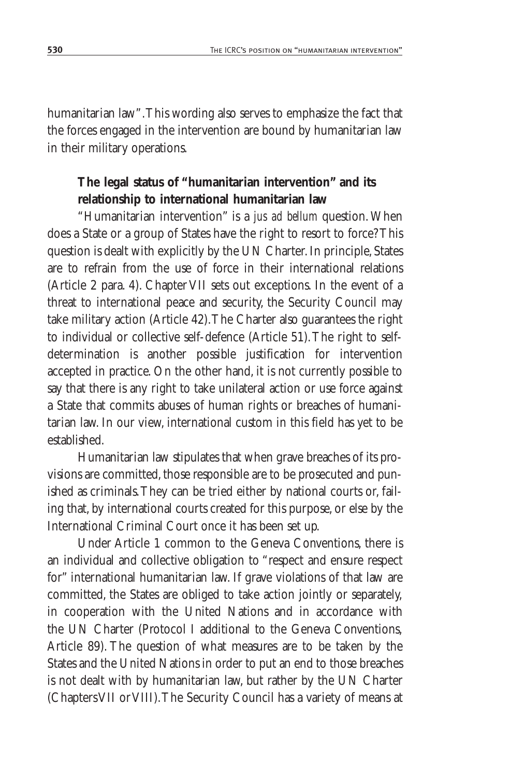humanitarian law".This wording also serves to emphasize the fact that the forces engaged in the intervention are bound by humanitarian law in their military operations.

## **The legal status of "humanitarian intervention" and its relationship to international humanitarian law**

"Humanitarian intervention" is a *jus ad bellum* question. When does a State or a group of States have the right to resort to force? This question is dealt with explicitly by the UN Charter. In principle, States are to refrain from the use of force in their international relations (Article 2 para. 4). Chapter VII sets out exceptions. In the event of a threat to international peace and security, the Security Council may take military action (Article 42).The Charter also guarantees the right to individual or collective self-defence (Article 51).The right to selfdetermination is another possible justification for intervention accepted in practice. On the other hand, it is not currently possible to say that there is any right to take unilateral action or use force against a State that commits abuses of human rights or breaches of humanitarian law. In our view, international custom in this field has yet to be established.

Humanitarian law stipulates that when grave breaches of its provisions are committed, those responsible are to be prosecuted and punished as criminals.They can be tried either by national courts or, failing that, by international courts created for this purpose, or else by the International Criminal Court once it has been set up.

Under Article 1 common to the Geneva Conventions, there is an individual and collective obligation to "respect and ensure respect for" international humanitarian law. If grave violations of that law are committed, the States are obliged to take action jointly or separately, in cooperation with the United Nations and in accordance with the UN Charter (Protocol I additional to the Geneva Conventions, Article 89). The question of what measures are to be taken by the States and the United Nations in order to put an end to those breaches is not dealt with by humanitarian law, but rather by the UN Charter (Chapters VII or VIII).The Security Council has a variety of means at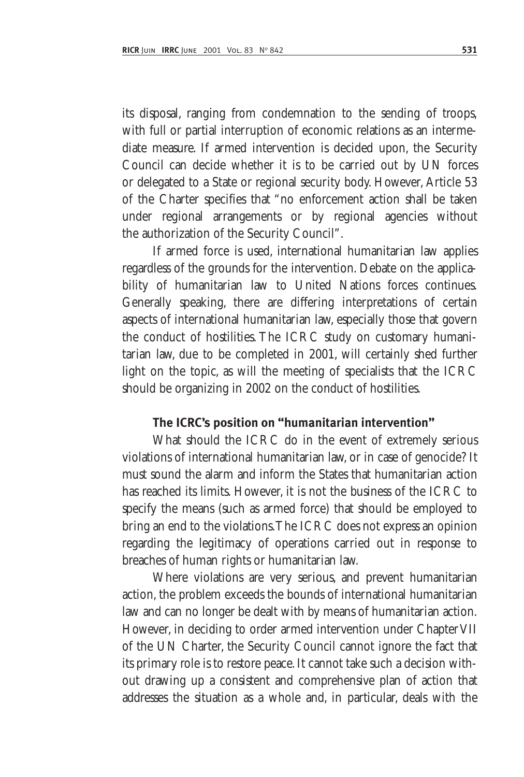its disposal, ranging from condemnation to the sending of troops, with full or partial interruption of economic relations as an intermediate measure. If armed intervention is decided upon, the Security Council can decide whether it is to be carried out by UN forces or delegated to a State or regional security body. However, Article 53 of the Charter specifies that "no enforcement action shall be taken under regional arrangements or by regional agencies without the authorization of the Security Council".

If armed force is used, international humanitarian law applies regardless of the grounds for the intervention. Debate on the applicability of humanitarian law to United Nations forces continues. Generally speaking, there are differing interpretations of certain aspects of international humanitarian law, especially those that govern the conduct of hostilities. The ICRC study on customary humanitarian law, due to be completed in 2001, will certainly shed further light on the topic, as will the meeting of specialists that the ICRC should be organizing in 2002 on the conduct of hostilities.

#### **The ICRC's position on "humanitarian intervention"**

What should the ICRC do in the event of extremely serious violations of international humanitarian law, or in case of genocide? It must sound the alarm and inform the States that humanitarian action has reached its limits. However, it is not the business of the ICRC to specify the means (such as armed force) that should be employed to bring an end to the violations.The ICRC does not express an opinion regarding the legitimacy of operations carried out in response to breaches of human rights or humanitarian law.

Where violations are very serious, and prevent humanitarian action, the problem exceeds the bounds of international humanitarian law and can no longer be dealt with by means of humanitarian action. However, in deciding to order armed intervention under Chapter VII of the UN Charter, the Security Council cannot ignore the fact that its primary role is to restore peace. It cannot take such a decision without drawing up a consistent and comprehensive plan of action that addresses the situation as a whole and, in particular, deals with the